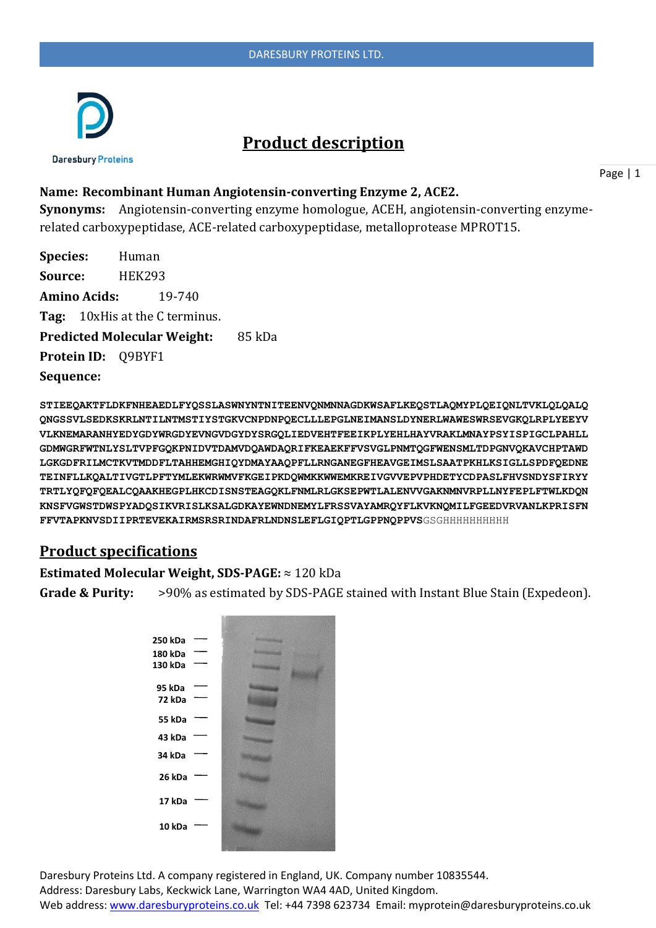

# **Product description**

**Name: Recombinant Human Angiotensin-converting Enzyme 2, ACE2.** 

**Synonyms:** Angiotensin-converting enzyme homologue, ACEH, angiotensin-converting enzymerelated carboxypeptidase, ACE-related carboxypeptidase, metalloprotease MPROT15.

**Species:** Human **Source:** HEK293 **Amino Acids:** 19-740 **Tag:** 10xHis at the C terminus. **Predicted Molecular Weight:** 85 kDa **Protein ID:** Q9BYF1 **Sequence:**

**STIEEQAKTFLDKFNHEAEDLFYQSSLASWNYNTNITEENVQNMNNAGDKWSAFLKEQSTLAQMYPLQEIQNLTVKLQLQALQ QNGSSVLSEDKSKRLNTILNTMSTIYSTGKVCNPDNPQECLLLEPGLNEIMANSLDYNERLWAWESWRSEVGKQLRPLYEEYV VLKNEMARANHYEDYGDYWRGDYEVNGVDGYDYSRGQLIEDVEHTFEEIKPLYEHLHAYVRAKLMNAYPSYISPIGCLPAHLL GDMWGRFWTNLYSLTVPFGQKPNIDVTDAMVDQAWDAQRIFKEAEKFFVSVGLPNMTQGFWENSMLTDPGNVQKAVCHPTAWD LGKGDFRILMCTKVTMDDFLTAHHEMGHIQYDMAYAAQPFLLRNGANEGFHEAVGEIMSLSAATPKHLKSIGLLSPDFQEDNE TEINFLLKQALTIVGTLPFTYMLEKWRWMVFKGEIPKDQWMKKWWEMKREIVGVVEPVPHDETYCDPASLFHVSNDYSFIRYY TRTLYQFQFQEALCQAAKHEGPLHKCDISNSTEAGQKLFNMLRLGKSEPWTLALENVVGAKNMNVRPLLNYFEPLFTWLKDQN KNSFVGWSTDWSPYADQSIKVRISLKSALGDKAYEWNDNEMYLFRSSVAYAMRQYFLKVKNQMILFGEEDVRVANLKPRISFN FFVTAPKNVSDIIPRTEVEKAIRMSRSRINDAFRLNDNSLEFLGIQPTLGPPNQPPVS**GSGHHHHHHHHHH

## **Product specifications**

#### **Estimated Molecular Weight, SDS-PAGE:** ≈ 120 kDa

**Grade & Purity:** >90% as estimated by SDS-PAGE stained with Instant Blue Stain (Expedeon).

| 250 kDa |  |
|---------|--|
| 180 kDa |  |
| 130 kDa |  |
|         |  |
| 95 kDa  |  |
| 72 kDa  |  |
| 55 kDa  |  |
|         |  |
| 43 kDa  |  |
| 34 kDa  |  |
| 26 kDa  |  |
|         |  |
| 17 kDa  |  |
|         |  |
| 10 kDa  |  |
|         |  |
|         |  |

Daresbury Proteins Ltd. A company registered in England, UK. Company number 10835544. Address: Daresbury Labs, Keckwick Lane, Warrington WA4 4AD, United Kingdom. Web address[: www.daresburyproteins.co.uk](http://www.daresburyproteins.co.uk/) Tel: +44 7398 623734 Email: myprotein@daresburyproteins.co.uk

Page | 1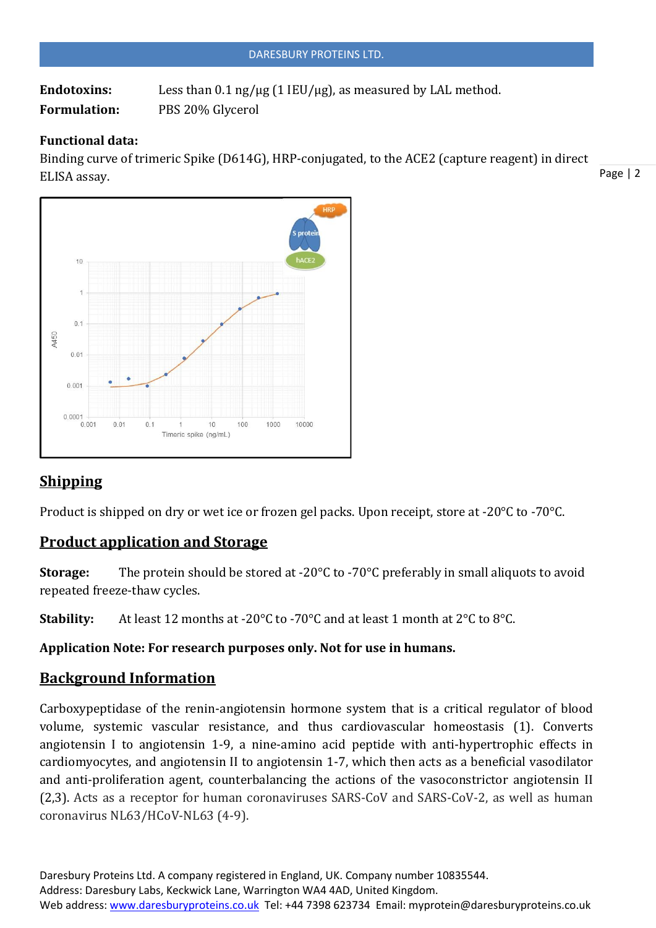|                     | DARESBURY PROTEINS LTD.                                                                    |
|---------------------|--------------------------------------------------------------------------------------------|
| <b>Endotoxins:</b>  | Less than $0.1 \text{ ng}/\mu\text{g}$ (1 IEU/ $\mu\text{g}$ ), as measured by LAL method. |
| <b>Formulation:</b> | PBS 20% Glycerol                                                                           |

### **Functional data:**

Binding curve of trimeric Spike (D614G), HRP-conjugated, to the ACE2 (capture reagent) in direct ELISA assay.



# **Shipping**

Product is shipped on dry or wet ice or frozen gel packs. Upon receipt, store at -20°C to -70°C.

## **Product application and Storage**

**Storage:** The protein should be stored at -20°C to -70°C preferably in small aliquots to avoid repeated freeze-thaw cycles.

**Stability:** At least 12 months at -20°C to -70°C and at least 1 month at 2°C to 8°C.

### **Application Note: For research purposes only. Not for use in humans.**

# **Background Information**

Carboxypeptidase of the renin-angiotensin hormone system that is a critical regulator of blood volume, systemic vascular resistance, and thus cardiovascular homeostasis (1). Converts angiotensin I to angiotensin 1-9, a nine-amino acid peptide with anti-hypertrophic effects in cardiomyocytes, and angiotensin II to angiotensin 1-7, which then acts as a beneficial vasodilator and anti-proliferation agent, counterbalancing the actions of the vasoconstrictor angiotensin II (2,3). Acts as a receptor for human coronaviruses SARS-CoV and SARS-CoV-2, as well as human coronavirus NL63/HCoV-NL63 (4-9).

Page | 2